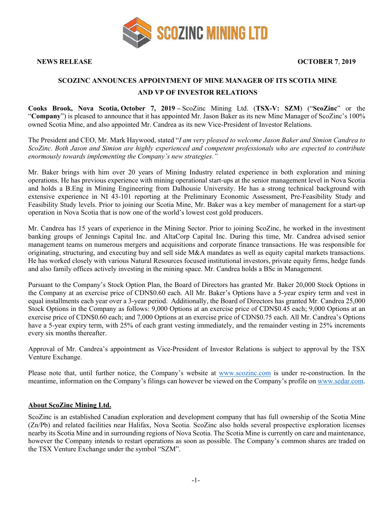

**NEWS RELEASE OCTOBER 7**, **2019**

## **SCOZINC ANNOUNCES APPOINTMENT OF MINE MANAGER OF ITS SCOTIA MINE AND VP OF INVESTOR RELATIONS**

**Cooks Brook, Nova Scotia, October 7, 2019 –** ScoZinc Mining Ltd. (**TSX-V: SZM**) ("**ScoZinc**" or the "**Company**") is pleased to announce that it has appointed Mr. Jason Baker as its new Mine Manager of ScoZinc's 100% owned Scotia Mine, and also appointed Mr. Candrea as its new Vice-President of Investor Relations.

The President and CEO, Mr. Mark Haywood, stated "*I am very pleased to welcome Jason Baker and Simion Candrea to ScoZinc. Both Jason and Simion are highly experienced and competent professionals who are expected to contribute enormously towards implementing the Company's new strategies."*

Mr. Baker brings with him over 20 years of Mining Industry related experience in both exploration and mining operations. He has previous experience with mining operational start-ups at the senior management level in Nova Scotia and holds a B.Eng in Mining Engineering from Dalhousie University. He has a strong technical background with extensive experience in NI 43-101 reporting at the Preliminary Economic Assessment, Pre-Feasibility Study and Feasibility Study levels. Prior to joining our Scotia Mine, Mr. Baker was a key member of management for a start-up operation in Nova Scotia that is now one of the world's lowest cost gold producers.

Mr. Candrea has 15 years of experience in the Mining Sector. Prior to joining ScoZinc, he worked in the investment banking groups of Jennings Capital Inc. and AltaCorp Capital Inc. During this time, Mr. Candrea advised senior management teams on numerous mergers and acquisitions and corporate finance transactions. He was responsible for originating, structuring, and executing buy and sell side M&A mandates as well as equity capital markets transactions. He has worked closely with various Natural Resources focused institutional investors, private equity firms, hedge funds and also family offices actively investing in the mining space. Mr. Candrea holds a BSc in Management.

Pursuant to the Company's Stock Option Plan, the Board of Directors has granted Mr. Baker 20,000 Stock Options in the Company at an exercise price of CDN\$0.60 each. All Mr. Baker's Options have a 5-year expiry term and vest in equal installments each year over a 3-year period. Additionally, the Board of Directors has granted Mr. Candrea 25,000 Stock Options in the Company as follows: 9,000 Options at an exercise price of CDN\$0.45 each; 9,000 Options at an exercise price of CDN\$0.60 each; and 7,000 Options at an exercise price of CDN\$0.75 each. All Mr. Candrea's Options have a 5-year expiry term, with 25% of each grant vesting immediately, and the remainder vesting in 25% increments every six months thereafter.

Approval of Mr. Candrea's appointment as Vice-President of Investor Relations is subject to approval by the TSX Venture Exchange.

Please note that, until further notice, the Company's website at www.scozinc.com is under re-construction. In the meantime, information on the Company's filings can however be viewed on the Company's profile on www.sedar.com.

## **About ScoZinc Mining Ltd.**

ScoZinc is an established Canadian exploration and development company that has full ownership of the Scotia Mine (Zn/Pb) and related facilities near Halifax, Nova Scotia. ScoZinc also holds several prospective exploration licenses nearby its Scotia Mine and in surrounding regions of Nova Scotia. The Scotia Mine is currently on care and maintenance, however the Company intends to restart operations as soon as possible. The Company's common shares are traded on the TSX Venture Exchange under the symbol "SZM".